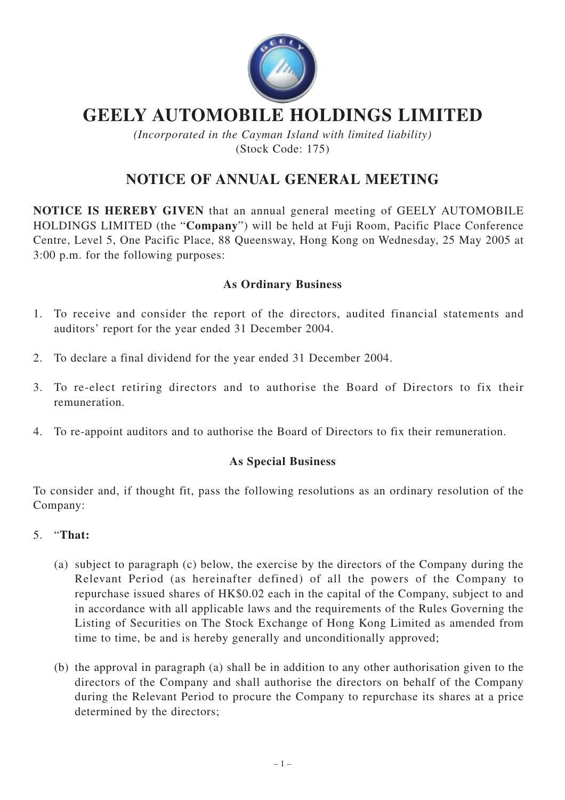

# **GEELY AUTOMOBILE HOLDINGS LIMITED**

*(Incorporated in the Cayman Island with limited liability)* (Stock Code: 175)

# **NOTICE OF ANNUAL GENERAL MEETING**

**NOTICE IS HEREBY GIVEN** that an annual general meeting of GEELY AUTOMOBILE HOLDINGS LIMITED (the "**Company**") will be held at Fuji Room, Pacific Place Conference Centre, Level 5, One Pacific Place, 88 Queensway, Hong Kong on Wednesday, 25 May 2005 at 3:00 p.m. for the following purposes:

### **As Ordinary Business**

- 1. To receive and consider the report of the directors, audited financial statements and auditors' report for the year ended 31 December 2004.
- 2. To declare a final dividend for the year ended 31 December 2004.
- 3. To re-elect retiring directors and to authorise the Board of Directors to fix their remuneration.
- 4. To re-appoint auditors and to authorise the Board of Directors to fix their remuneration.

# **As Special Business**

To consider and, if thought fit, pass the following resolutions as an ordinary resolution of the Company:

#### 5. "**That:**

- (a) subject to paragraph (c) below, the exercise by the directors of the Company during the Relevant Period (as hereinafter defined) of all the powers of the Company to repurchase issued shares of HK\$0.02 each in the capital of the Company, subject to and in accordance with all applicable laws and the requirements of the Rules Governing the Listing of Securities on The Stock Exchange of Hong Kong Limited as amended from time to time, be and is hereby generally and unconditionally approved;
- (b) the approval in paragraph (a) shall be in addition to any other authorisation given to the directors of the Company and shall authorise the directors on behalf of the Company during the Relevant Period to procure the Company to repurchase its shares at a price determined by the directors;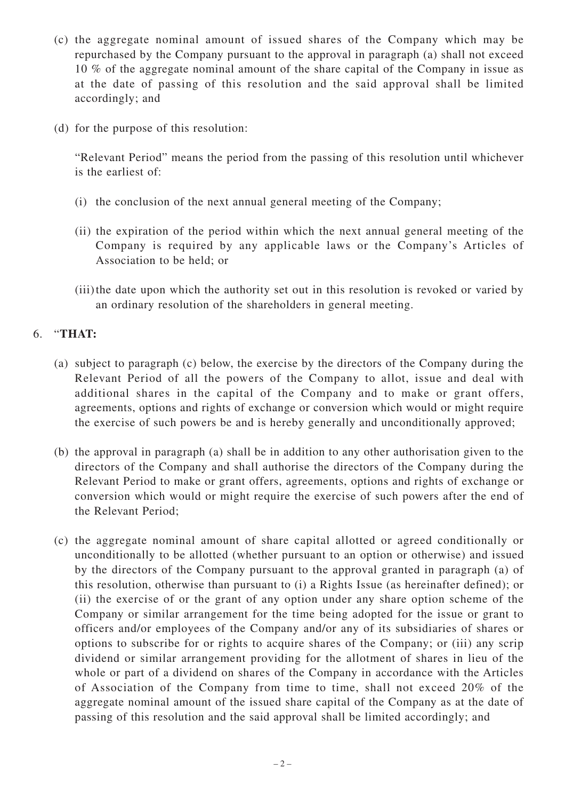- (c) the aggregate nominal amount of issued shares of the Company which may be repurchased by the Company pursuant to the approval in paragraph (a) shall not exceed 10 % of the aggregate nominal amount of the share capital of the Company in issue as at the date of passing of this resolution and the said approval shall be limited accordingly; and
- (d) for the purpose of this resolution:

"Relevant Period" means the period from the passing of this resolution until whichever is the earliest of:

- (i) the conclusion of the next annual general meeting of the Company;
- (ii) the expiration of the period within which the next annual general meeting of the Company is required by any applicable laws or the Company's Articles of Association to be held; or
- (iii)the date upon which the authority set out in this resolution is revoked or varied by an ordinary resolution of the shareholders in general meeting.

# 6. "**THAT:**

- (a) subject to paragraph (c) below, the exercise by the directors of the Company during the Relevant Period of all the powers of the Company to allot, issue and deal with additional shares in the capital of the Company and to make or grant offers, agreements, options and rights of exchange or conversion which would or might require the exercise of such powers be and is hereby generally and unconditionally approved;
- (b) the approval in paragraph (a) shall be in addition to any other authorisation given to the directors of the Company and shall authorise the directors of the Company during the Relevant Period to make or grant offers, agreements, options and rights of exchange or conversion which would or might require the exercise of such powers after the end of the Relevant Period;
- (c) the aggregate nominal amount of share capital allotted or agreed conditionally or unconditionally to be allotted (whether pursuant to an option or otherwise) and issued by the directors of the Company pursuant to the approval granted in paragraph (a) of this resolution, otherwise than pursuant to (i) a Rights Issue (as hereinafter defined); or (ii) the exercise of or the grant of any option under any share option scheme of the Company or similar arrangement for the time being adopted for the issue or grant to officers and/or employees of the Company and/or any of its subsidiaries of shares or options to subscribe for or rights to acquire shares of the Company; or (iii) any scrip dividend or similar arrangement providing for the allotment of shares in lieu of the whole or part of a dividend on shares of the Company in accordance with the Articles of Association of the Company from time to time, shall not exceed 20% of the aggregate nominal amount of the issued share capital of the Company as at the date of passing of this resolution and the said approval shall be limited accordingly; and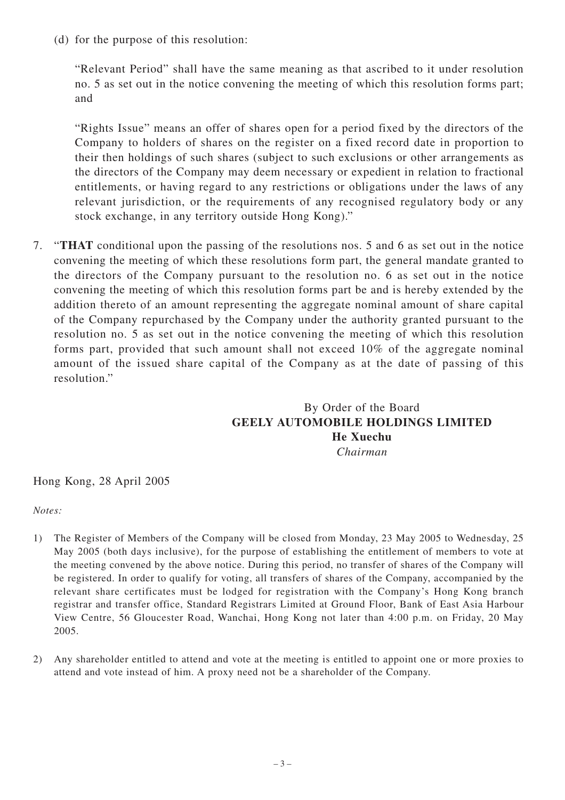(d) for the purpose of this resolution:

"Relevant Period" shall have the same meaning as that ascribed to it under resolution no. 5 as set out in the notice convening the meeting of which this resolution forms part; and

"Rights Issue" means an offer of shares open for a period fixed by the directors of the Company to holders of shares on the register on a fixed record date in proportion to their then holdings of such shares (subject to such exclusions or other arrangements as the directors of the Company may deem necessary or expedient in relation to fractional entitlements, or having regard to any restrictions or obligations under the laws of any relevant jurisdiction, or the requirements of any recognised regulatory body or any stock exchange, in any territory outside Hong Kong)."

7. "**THAT** conditional upon the passing of the resolutions nos. 5 and 6 as set out in the notice convening the meeting of which these resolutions form part, the general mandate granted to the directors of the Company pursuant to the resolution no. 6 as set out in the notice convening the meeting of which this resolution forms part be and is hereby extended by the addition thereto of an amount representing the aggregate nominal amount of share capital of the Company repurchased by the Company under the authority granted pursuant to the resolution no. 5 as set out in the notice convening the meeting of which this resolution forms part, provided that such amount shall not exceed 10% of the aggregate nominal amount of the issued share capital of the Company as at the date of passing of this resolution."

### By Order of the Board **GEELY AUTOMOBILE HOLDINGS LIMITED He Xuechu** *Chairman*

# Hong Kong, 28 April 2005

*Notes:*

- 1) The Register of Members of the Company will be closed from Monday, 23 May 2005 to Wednesday, 25 May 2005 (both days inclusive), for the purpose of establishing the entitlement of members to vote at the meeting convened by the above notice. During this period, no transfer of shares of the Company will be registered. In order to qualify for voting, all transfers of shares of the Company, accompanied by the relevant share certificates must be lodged for registration with the Company's Hong Kong branch registrar and transfer office, Standard Registrars Limited at Ground Floor, Bank of East Asia Harbour View Centre, 56 Gloucester Road, Wanchai, Hong Kong not later than 4:00 p.m. on Friday, 20 May 2005.
- 2) Any shareholder entitled to attend and vote at the meeting is entitled to appoint one or more proxies to attend and vote instead of him. A proxy need not be a shareholder of the Company.